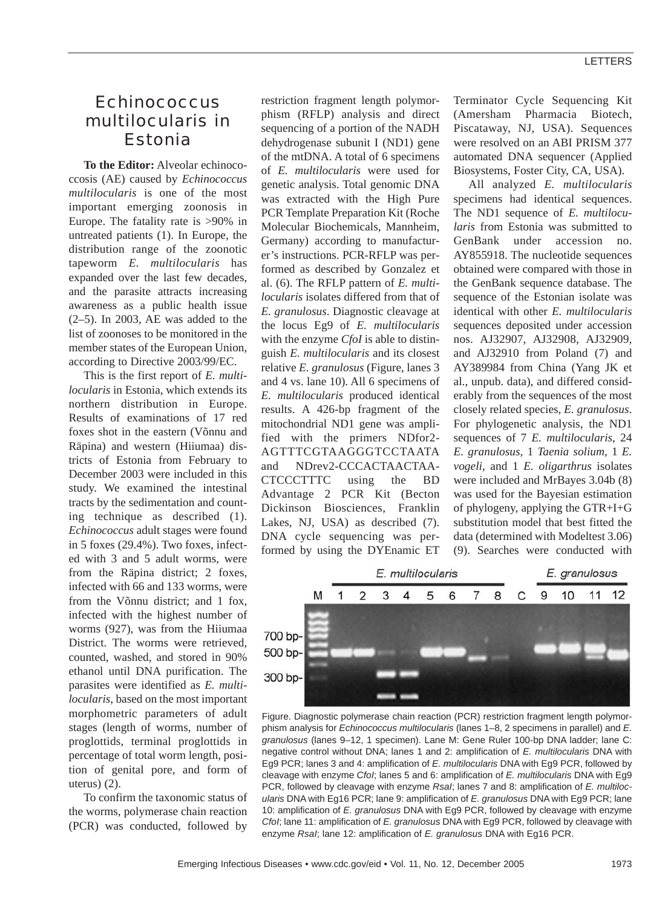## *Echinococcus multilocularis* in Estonia

**To the Editor:** Alveolar echinococcosis (AE) caused by *Echinococcus multilocularis* is one of the most important emerging zoonosis in Europe. The fatality rate is >90% in untreated patients (1). In Europe, the distribution range of the zoonotic tapeworm *E. multilocularis* has expanded over the last few decades, and the parasite attracts increasing awareness as a public health issue (2–5). In 2003, AE was added to the list of zoonoses to be monitored in the member states of the European Union, according to Directive 2003/99/EC.

This is the first report of *E. multilocularis* in Estonia, which extends its northern distribution in Europe. Results of examinations of 17 red foxes shot in the eastern (Võnnu and Räpina) and western (Hiiumaa) districts of Estonia from February to December 2003 were included in this study. We examined the intestinal tracts by the sedimentation and counting technique as described (1). *Echinococcus* adult stages were found in 5 foxes (29.4%). Two foxes, infected with 3 and 5 adult worms, were from the Räpina district; 2 foxes, infected with 66 and 133 worms, were from the Võnnu district; and 1 fox, infected with the highest number of worms (927), was from the Hiiumaa District. The worms were retrieved, counted, washed, and stored in 90% ethanol until DNA purification. The parasites were identified as *E. multilocularis*, based on the most important morphometric parameters of adult stages (length of worms, number of proglottids, terminal proglottids in percentage of total worm length, position of genital pore, and form of uterus) (2).

To confirm the taxonomic status of the worms, polymerase chain reaction (PCR) was conducted, followed by restriction fragment length polymorphism (RFLP) analysis and direct sequencing of a portion of the NADH dehydrogenase subunit I (ND1) gene of the mtDNA. A total of 6 specimens of *E. multilocularis* were used for genetic analysis. Total genomic DNA was extracted with the High Pure PCR Template Preparation Kit (Roche Molecular Biochemicals, Mannheim, Germany) according to manufacturer's instructions. PCR-RFLP was performed as described by Gonzalez et al. (6). The RFLP pattern of *E. multilocularis* isolates differed from that of *E. granulosus*. Diagnostic cleavage at the locus Eg9 of *E. multilocularis* with the enzyme *CfoI* is able to distinguish *E. multilocularis* and its closest relative *E. granulosus* (Figure, lanes 3 and 4 vs. lane 10). All 6 specimens of *E. multilocularis* produced identical results. A 426-bp fragment of the mitochondrial ND1 gene was amplified with the primers NDfor2- AGTTTCGTAAGGGTCCTAATA and NDrev2-CCCACTAACTAA-CTCCCTTTC using the BD Advantage 2 PCR Kit (Becton Dickinson Biosciences, Franklin Lakes, NJ, USA) as described (7). DNA cycle sequencing was performed by using the DYEnamic ET

Terminator Cycle Sequencing Kit (Amersham Pharmacia Biotech, Piscataway, NJ, USA). Sequences were resolved on an ABI PRISM 377 automated DNA sequencer (Applied Biosystems, Foster City, CA, USA).

All analyzed *E. multilocularis* specimens had identical sequences. The ND1 sequence of *E. multilocularis* from Estonia was submitted to GenBank under accession no. AY855918. The nucleotide sequences obtained were compared with those in the GenBank sequence database. The sequence of the Estonian isolate was identical with other *E. multilocularis* sequences deposited under accession nos. AJ32907, AJ32908, AJ32909, and AJ32910 from Poland (7) and AY389984 from China (Yang JK et al., unpub. data), and differed considerably from the sequences of the most closely related species, *E. granulosus*. For phylogenetic analysis, the ND1 sequences of 7 *E. multilocularis*, 24 *E. granulosus*, 1 *Taenia solium*, 1 *E. vogeli*, and 1 *E. oligarthrus* isolates were included and MrBayes 3.04b (8) was used for the Bayesian estimation of phylogeny, applying the GTR+I+G substitution model that best fitted the data (determined with Modeltest 3.06) (9). Searches were conducted with



Figure. Diagnostic polymerase chain reaction (PCR) restriction fragment length polymorphism analysis for *Echinococcus multilocularis* (lanes 1–8, 2 specimens in parallel) and *E. granulosus* (lanes 9–12, 1 specimen). Lane M: Gene Ruler 100-bp DNA ladder; lane C: negative control without DNA; lanes 1 and 2: amplification of *E. multilocularis* DNA with Eg9 PCR; lanes 3 and 4: amplification of *E. multilocularis* DNA with Eg9 PCR, followed by cleavage with enzyme *CfoI*; lanes 5 and 6: amplification of *E. multilocularis* DNA with Eg9 PCR, followed by cleavage with enzyme *RsaI*; lanes 7 and 8: amplification of *E. multilocularis* DNA with Eg16 PCR; lane 9: amplification of *E. granulosus* DNA with Eg9 PCR; lane 10: amplification of *E. granulosus* DNA with Eg9 PCR, followed by cleavage with enzyme *CfoI*; lane 11: amplification of *E. granulosus* DNA with Eg9 PCR, followed by cleavage with enzyme *RsaI*; lane 12: amplification of *E. granulosus* DNA with Eg16 PCR.